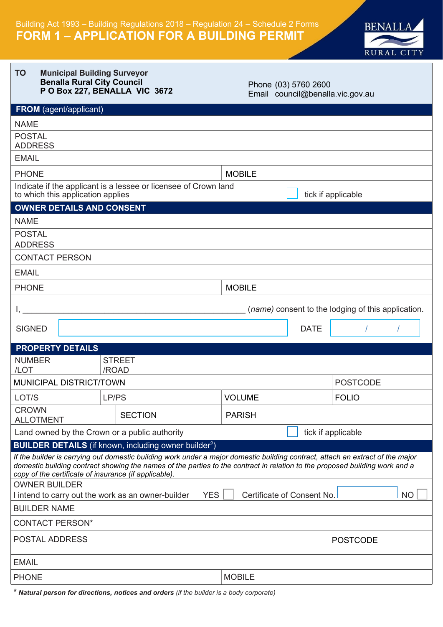

#### **TO Municipal Building Surveyor Benalla Rural City Council P O Box 227, BENALLA VIC 3672**

Phone (03) 5760 2600 Email council@benalla.vic.gov.au

| <b>FROM</b> (agent/applicant)                                                                                                                                                                                                                                                                                          |                                                                          |               |             |                                                    |  |
|------------------------------------------------------------------------------------------------------------------------------------------------------------------------------------------------------------------------------------------------------------------------------------------------------------------------|--------------------------------------------------------------------------|---------------|-------------|----------------------------------------------------|--|
| <b>NAME</b>                                                                                                                                                                                                                                                                                                            |                                                                          |               |             |                                                    |  |
| <b>POSTAL</b><br><b>ADDRESS</b>                                                                                                                                                                                                                                                                                        |                                                                          |               |             |                                                    |  |
| <b>EMAIL</b>                                                                                                                                                                                                                                                                                                           |                                                                          |               |             |                                                    |  |
| <b>PHONE</b>                                                                                                                                                                                                                                                                                                           |                                                                          | <b>MOBILE</b> |             |                                                    |  |
| to which this application applies                                                                                                                                                                                                                                                                                      | Indicate if the applicant is a lessee or licensee of Crown land          |               |             | tick if applicable                                 |  |
| <b>OWNER DETAILS AND CONSENT</b>                                                                                                                                                                                                                                                                                       |                                                                          |               |             |                                                    |  |
| <b>NAME</b>                                                                                                                                                                                                                                                                                                            |                                                                          |               |             |                                                    |  |
| <b>POSTAL</b><br><b>ADDRESS</b>                                                                                                                                                                                                                                                                                        |                                                                          |               |             |                                                    |  |
| <b>CONTACT PERSON</b>                                                                                                                                                                                                                                                                                                  |                                                                          |               |             |                                                    |  |
| <b>EMAIL</b>                                                                                                                                                                                                                                                                                                           |                                                                          |               |             |                                                    |  |
| <b>PHONE</b>                                                                                                                                                                                                                                                                                                           |                                                                          | <b>MOBILE</b> |             |                                                    |  |
|                                                                                                                                                                                                                                                                                                                        |                                                                          |               |             | (name) consent to the lodging of this application. |  |
| <b>SIGNED</b>                                                                                                                                                                                                                                                                                                          |                                                                          |               | <b>DATE</b> |                                                    |  |
| <b>PROPERTY DETAILS</b>                                                                                                                                                                                                                                                                                                |                                                                          |               |             |                                                    |  |
| <b>NUMBER</b><br>/LOT                                                                                                                                                                                                                                                                                                  | <b>STREET</b><br>/ROAD                                                   |               |             |                                                    |  |
| MUNICIPAL DISTRICT/TOWN                                                                                                                                                                                                                                                                                                |                                                                          |               |             | <b>POSTCODE</b>                                    |  |
| LOT/S                                                                                                                                                                                                                                                                                                                  | LP/PS                                                                    | <b>VOLUME</b> |             | <b>FOLIO</b>                                       |  |
| <b>CROWN</b><br><b>ALLOTMENT</b>                                                                                                                                                                                                                                                                                       | <b>SECTION</b>                                                           | <b>PARISH</b> |             |                                                    |  |
| Land owned by the Crown or a public authority                                                                                                                                                                                                                                                                          |                                                                          |               |             | tick if applicable                                 |  |
|                                                                                                                                                                                                                                                                                                                        | <b>BUILDER DETAILS</b> (if known, including owner builder <sup>2</sup> ) |               |             |                                                    |  |
| If the builder is carrying out domestic building work under a major domestic building contract, attach an extract of the major<br>domestic building contract showing the names of the parties to the contract in relation to the proposed building work and a<br>copy of the certificate of insurance (if applicable). |                                                                          |               |             |                                                    |  |
| <b>OWNER BUILDER</b>                                                                                                                                                                                                                                                                                                   |                                                                          |               |             |                                                    |  |
| <b>YES</b><br>Certificate of Consent No.<br><b>NO</b><br>I intend to carry out the work as an owner-builder<br><b>BUILDER NAME</b>                                                                                                                                                                                     |                                                                          |               |             |                                                    |  |
|                                                                                                                                                                                                                                                                                                                        |                                                                          |               |             |                                                    |  |
| <b>CONTACT PERSON*</b>                                                                                                                                                                                                                                                                                                 |                                                                          |               |             |                                                    |  |
| POSTAL ADDRESS                                                                                                                                                                                                                                                                                                         |                                                                          |               |             | <b>POSTCODE</b>                                    |  |
| <b>EMAIL</b>                                                                                                                                                                                                                                                                                                           |                                                                          |               |             |                                                    |  |
| <b>PHONE</b>                                                                                                                                                                                                                                                                                                           |                                                                          | <b>MOBILE</b> |             |                                                    |  |

*\* Natural person for directions, notices and orders (if the builder is a body corporate)*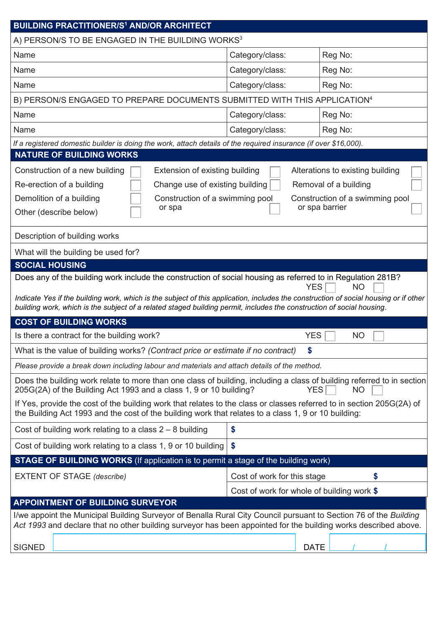| <b>BUILDING PRACTITIONER/S<sup>1</sup> AND/OR ARCHITECT</b>                                                                                                                                                                                                                 |                                                                                      |                                                           |  |  |  |  |
|-----------------------------------------------------------------------------------------------------------------------------------------------------------------------------------------------------------------------------------------------------------------------------|--------------------------------------------------------------------------------------|-----------------------------------------------------------|--|--|--|--|
| A) PERSON/S TO BE ENGAGED IN THE BUILDING WORKS <sup>3</sup>                                                                                                                                                                                                                |                                                                                      |                                                           |  |  |  |  |
| Name                                                                                                                                                                                                                                                                        | Category/class:                                                                      | Reg No:                                                   |  |  |  |  |
| Name                                                                                                                                                                                                                                                                        | Category/class:                                                                      | Reg No:                                                   |  |  |  |  |
| Name                                                                                                                                                                                                                                                                        | Category/class:                                                                      | Reg No:                                                   |  |  |  |  |
| B) PERSON/S ENGAGED TO PREPARE DOCUMENTS SUBMITTED WITH THIS APPLICATION <sup>4</sup>                                                                                                                                                                                       |                                                                                      |                                                           |  |  |  |  |
| Name                                                                                                                                                                                                                                                                        | Category/class:                                                                      | Reg No:                                                   |  |  |  |  |
| Name                                                                                                                                                                                                                                                                        | Category/class:                                                                      | Reg No:                                                   |  |  |  |  |
| If a registered domestic builder is doing the work, attach details of the required insurance (if over \$16,000).                                                                                                                                                            |                                                                                      |                                                           |  |  |  |  |
| <b>NATURE OF BUILDING WORKS</b>                                                                                                                                                                                                                                             |                                                                                      |                                                           |  |  |  |  |
| Construction of a new building<br>Extension of existing building<br>Change use of existing building<br>Re-erection of a building                                                                                                                                            |                                                                                      | Alterations to existing building<br>Removal of a building |  |  |  |  |
| Demolition of a building<br>or spa<br>Other (describe below)                                                                                                                                                                                                                | Construction of a swimming pool<br>Construction of a swimming pool<br>or spa barrier |                                                           |  |  |  |  |
| Description of building works                                                                                                                                                                                                                                               |                                                                                      |                                                           |  |  |  |  |
| What will the building be used for?                                                                                                                                                                                                                                         |                                                                                      |                                                           |  |  |  |  |
| <b>SOCIAL HOUSING</b>                                                                                                                                                                                                                                                       |                                                                                      |                                                           |  |  |  |  |
| YES.<br>NO<br>Indicate Yes if the building work, which is the subject of this application, includes the construction of social housing or if other<br>building work, which is the subject of a related staged building permit, includes the construction of social housing. |                                                                                      |                                                           |  |  |  |  |
| <b>COST OF BUILDING WORKS</b>                                                                                                                                                                                                                                               |                                                                                      |                                                           |  |  |  |  |
| Is there a contract for the building work?                                                                                                                                                                                                                                  | <b>YES</b>                                                                           | <b>NO</b>                                                 |  |  |  |  |
| What is the value of building works? (Contract price or estimate if no contract)                                                                                                                                                                                            |                                                                                      |                                                           |  |  |  |  |
| Please provide a break down including labour and materials and attach details of the method.                                                                                                                                                                                |                                                                                      |                                                           |  |  |  |  |
| Does the building work relate to more than one class of building, including a class of building referred to in section<br>205G(2A) of the Building Act 1993 and a class 1, 9 or 10 building?<br>YES<br>NO                                                                   |                                                                                      |                                                           |  |  |  |  |
| If Yes, provide the cost of the building work that relates to the class or classes referred to in section 205G(2A) of<br>the Building Act 1993 and the cost of the building work that relates to a class 1, 9 or 10 building:                                               |                                                                                      |                                                           |  |  |  |  |
| Cost of building work relating to a class $2 - 8$ building                                                                                                                                                                                                                  | \$                                                                                   |                                                           |  |  |  |  |
| \$<br>Cost of building work relating to a class 1, 9 or 10 building                                                                                                                                                                                                         |                                                                                      |                                                           |  |  |  |  |
| <b>STAGE OF BUILDING WORKS</b> (If application is to permit a stage of the building work)                                                                                                                                                                                   |                                                                                      |                                                           |  |  |  |  |
| <b>EXTENT OF STAGE (describe)</b>                                                                                                                                                                                                                                           | \$<br>Cost of work for this stage                                                    |                                                           |  |  |  |  |
|                                                                                                                                                                                                                                                                             | Cost of work for whole of building work \$                                           |                                                           |  |  |  |  |
| <b>APPOINTMENT OF BUILDING SURVEYOR</b>                                                                                                                                                                                                                                     |                                                                                      |                                                           |  |  |  |  |
| I/we appoint the Municipal Building Surveyor of Benalla Rural City Council pursuant to Section 76 of the Building<br>Act 1993 and declare that no other building surveyor has been appointed for the building works described above.                                        |                                                                                      |                                                           |  |  |  |  |
| <b>SIGNED</b>                                                                                                                                                                                                                                                               | <b>DATE</b>                                                                          |                                                           |  |  |  |  |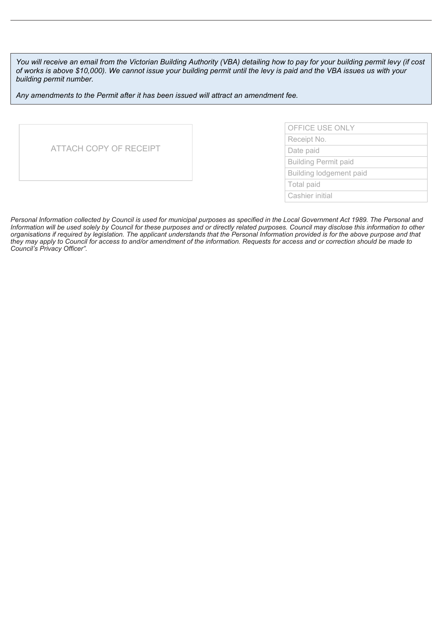*You will receive an email from the Victorian Building Authority (VBA) detailing how to pay for your building permit levy (if cost of works is above \$10,000). We cannot issue your building permit until the levy is paid and the VBA issues us with your building permit number.*

*Any amendments to the Permit after it has been issued will attract an amendment fee.*

| ATTACH COPY OF RECEIPT |
|------------------------|
|                        |

| OFFICE USE ONLY             |
|-----------------------------|
| Receipt No.                 |
| Date paid                   |
| <b>Building Permit paid</b> |
| Building lodgement paid     |
| Total paid                  |
| Cashier initial             |
|                             |

*Personal Information collected by Council is used for municipal purposes as specified in the Local Government Act 1989. The Personal and Information will be used solely by Council for these purposes and or directly related purposes. Council may disclose this information to other organisations if required by legislation. The applicant understands that the Personal Information provided is for the above purpose and that they may apply to Council for access to and/or amendment of the information. Requests for access and or correction should be made to Council's Privacy Officer".*